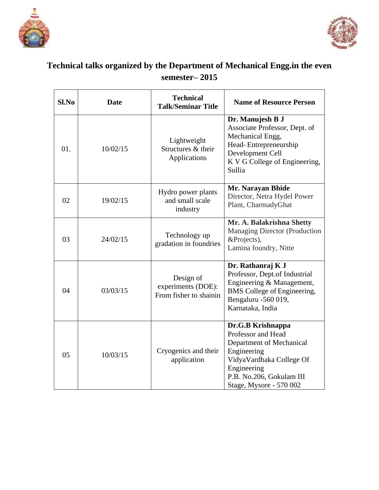



# **Technical talks organized by the Department of Mechanical Engg.in the even semester– 2015**

| Sl.No | <b>Date</b> | <b>Technical</b><br><b>Talk/Seminar Title</b>             | <b>Name of Resource Person</b>                                                                                                                                                        |
|-------|-------------|-----------------------------------------------------------|---------------------------------------------------------------------------------------------------------------------------------------------------------------------------------------|
| 01.   | 10/02/15    | Lightweight<br>Structures & their<br>Applications         | Dr. Manujesh B J<br>Associate Professor, Dept. of<br>Mechanical Engg,<br>Head-Entrepreneurship<br>Development Cell<br>K V G College of Engineering,<br>Sullia                         |
| 02    | 19/02/15    | Hydro power plants<br>and small scale<br>industry         | Mr. Narayan Bhide<br>Director, Netra Hydel Power<br>Plant, CharmadyGhat                                                                                                               |
| 03    | 24/02/15    | Technology up<br>gradation in foundries                   | Mr. A. Balakrishna Shetty<br><b>Managing Director (Production</b><br>&Projects),<br>Lamina foundry, Nitte                                                                             |
| 04    | 03/03/15    | Design of<br>experiments (DOE):<br>From fisher to shainin | Dr. Rathanraj K J<br>Professor, Dept.of Industrial<br>Engineering & Management,<br><b>BMS</b> College of Engineering,<br>Bengaluru -560 019,<br>Karnataka, India                      |
| 05    | 10/03/15    | Cryogenics and their<br>application                       | Dr.G.B Krishnappa<br>Professor and Head<br>Department of Mechanical<br>Engineering<br>Vidya Vardhaka College Of<br>Engineering<br>P.B. No.206, Gokulam III<br>Stage, Mysore - 570 002 |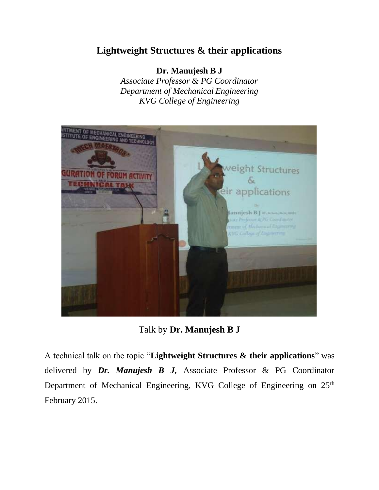## **Lightweight Structures & their applications**

#### **Dr. Manujesh B J**

*Associate Professor & PG Coordinator Department of Mechanical Engineering KVG College of Engineering*



Talk by **Dr. Manujesh B J**

A technical talk on the topic "**Lightweight Structures & their applications**" was delivered by *Dr. Manujesh B J,* Associate Professor & PG Coordinator Department of Mechanical Engineering, KVG College of Engineering on 25<sup>th</sup> February 2015.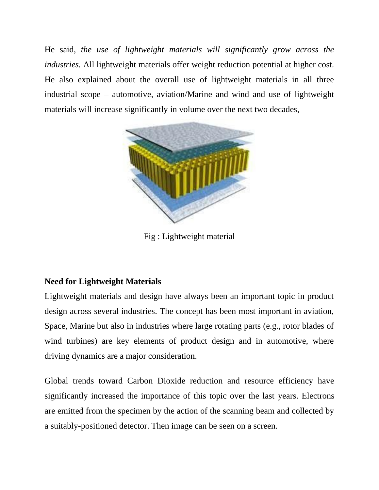He said, *the use of lightweight materials will significantly grow across the industries.* All lightweight materials offer weight reduction potential at higher cost. He also explained about the overall use of lightweight materials in all three industrial scope – automotive, aviation/Marine and wind and use of lightweight materials will increase significantly in volume over the next two decades,



Fig : Lightweight material

### **Need for Lightweight Materials**

Lightweight materials and design have always been an important topic in product design across several industries. The concept has been most important in aviation, Space, Marine but also in industries where large rotating parts (e.g., rotor blades of wind turbines) are key elements of product design and in automotive, where driving dynamics are a major consideration.

Global trends toward Carbon Dioxide reduction and resource efficiency have significantly increased the importance of this topic over the last years. Electrons are emitted from the specimen by the action of the scanning beam and collected by a suitably-positioned detector. Then image can be seen on a screen.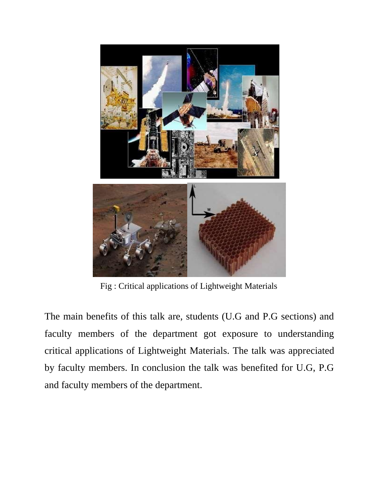

Fig : Critical applications of Lightweight Materials

The main benefits of this talk are, students (U.G and P.G sections) and faculty members of the department got exposure to understanding critical applications of Lightweight Materials. The talk was appreciated by faculty members. In conclusion the talk was benefited for U.G, P.G and faculty members of the department.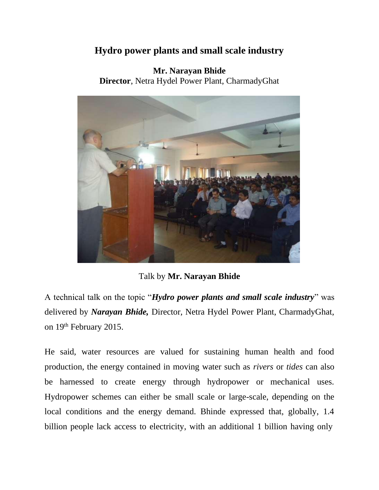## **Hydro power plants and small scale industry**

**Mr. Narayan Bhide Director**, Netra Hydel Power Plant, CharmadyGhat



Talk by **Mr. Narayan Bhide**

A technical talk on the topic "*Hydro power plants and small scale industry*" was delivered by *Narayan Bhide,* Director, Netra Hydel Power Plant, CharmadyGhat, on 19<sup>th</sup> February 2015.

He said, water resources are valued for sustaining human health and food production, the energy contained in moving water such as *rivers* or *tides* can also be harnessed to create energy through hydropower or mechanical uses. Hydropower schemes can either be small scale or large-scale, depending on the local conditions and the energy demand. Bhinde expressed that, globally, 1.4 billion people lack access to electricity, with an additional 1 billion having only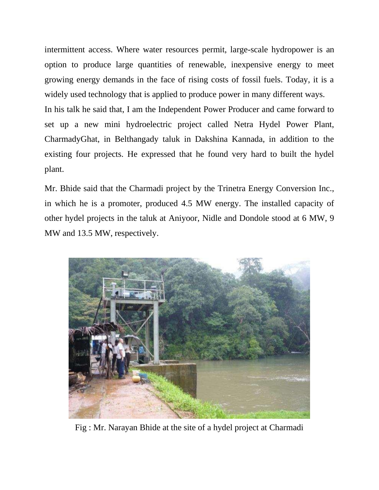intermittent access. Where water resources permit, large-scale hydropower is an option to produce large quantities of renewable, inexpensive energy to meet growing energy demands in the face of rising costs of fossil fuels. Today, it is a widely used technology that is applied to produce power in many different ways. In his talk he said that, I am the Independent Power Producer and came forward to set up a new mini hydroelectric project called Netra Hydel Power Plant, CharmadyGhat, in Belthangady taluk in Dakshina Kannada, in addition to the existing four projects. He expressed that he found very hard to built the hydel plant.

Mr. Bhide said that the Charmadi project by the Trinetra Energy Conversion Inc., in which he is a promoter, produced 4.5 MW energy. The installed capacity of other hydel projects in the taluk at Aniyoor, Nidle and Dondole stood at 6 MW, 9 MW and 13.5 MW, respectively.



Fig : Mr. Narayan Bhide at the site of a hydel project at Charmadi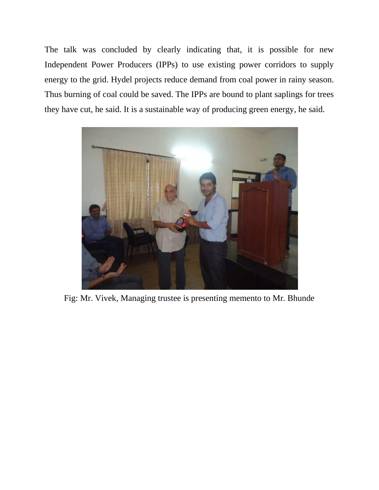The talk was concluded by clearly indicating that, it is possible for new Independent Power Producers (IPPs) to use existing power corridors to supply energy to the grid. Hydel projects reduce demand from coal power in rainy season. Thus burning of coal could be saved. The IPPs are bound to plant saplings for trees they have cut, he said. It is a sustainable way of producing green energy, he said.



Fig: Mr. Vivek, Managing trustee is presenting memento to Mr. Bhunde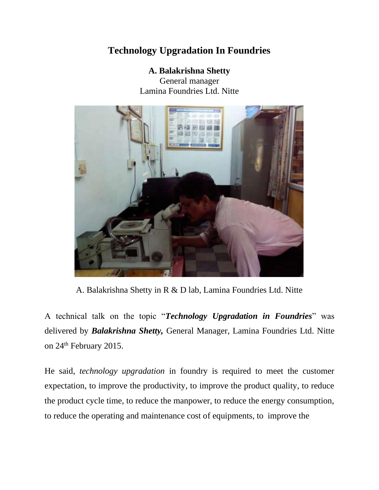## **Technology Upgradation In Foundries**

#### **A. Balakrishna Shetty**

General manager Lamina Foundries Ltd. Nitte



A. Balakrishna Shetty in R & D lab, Lamina Foundries Ltd. Nitte

A technical talk on the topic "*Technology Upgradation in Foundries*" was delivered by *Balakrishna Shetty,* General Manager, Lamina Foundries Ltd. Nitte on 24<sup>th</sup> February 2015.

He said, *technology upgradation* in foundry is required to meet the customer expectation, to improve the productivity, to improve the product quality, to reduce the product cycle time, to reduce the manpower, to reduce the energy consumption, to reduce the operating and maintenance cost of equipments, to improve the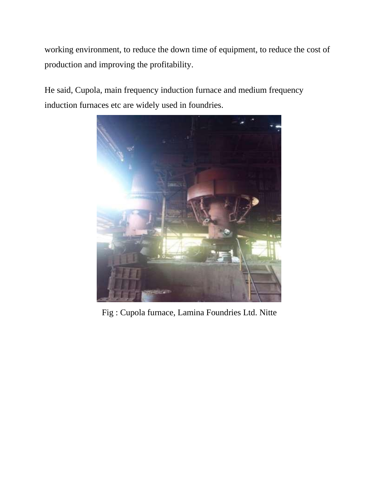working environment, to reduce the down time of equipment, to reduce the cost of production and improving the profitability.

He said, Cupola, main frequency induction furnace and medium frequency induction furnaces etc are widely used in foundries.



Fig : Cupola furnace, Lamina Foundries Ltd. Nitte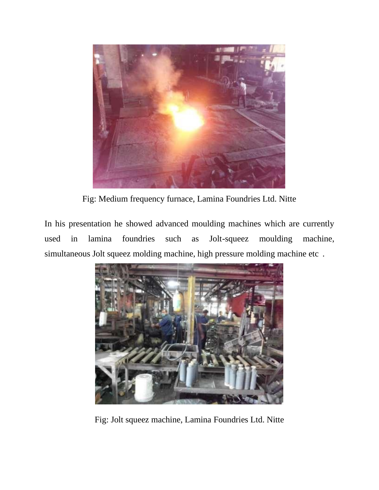

Fig: Medium frequency furnace, Lamina Foundries Ltd. Nitte

In his presentation he showed advanced moulding machines which are currently used in lamina foundries such as Jolt-squeez moulding machine, simultaneous Jolt squeez molding machine, high pressure molding machine etc .



Fig: Jolt squeez machine, Lamina Foundries Ltd. Nitte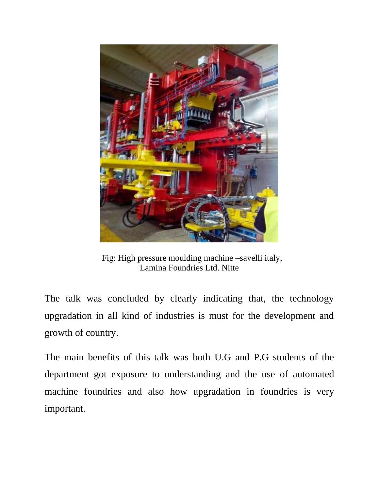

Fig: High pressure moulding machine –savelli italy, Lamina Foundries Ltd. Nitte

The talk was concluded by clearly indicating that, the technology upgradation in all kind of industries is must for the development and growth of country.

The main benefits of this talk was both U.G and P.G students of the department got exposure to understanding and the use of automated machine foundries and also how upgradation in foundries is very important.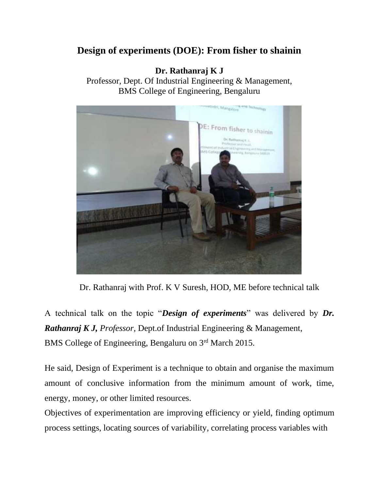## **Design of experiments (DOE): From fisher to shainin**

### **Dr. Rathanraj K J**

Professor, Dept. Of Industrial Engineering & Management, BMS College of Engineering, Bengaluru



Dr. Rathanraj with Prof. K V Suresh, HOD, ME before technical talk

A technical talk on the topic "*Design of experiments*" was delivered by *Dr. Rathanraj K J, Professor,* Dept.of Industrial Engineering & Management, BMS College of Engineering, Bengaluru on 3<sup>rd</sup> March 2015.

He said, Design of Experiment is a technique to obtain and organise the maximum amount of conclusive information from the minimum amount of work, time, energy, money, or other limited resources.

Objectives of experimentation are improving efficiency or yield, finding optimum process settings, locating sources of variability, correlating process variables with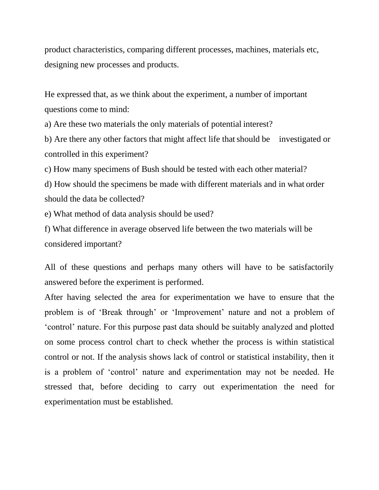product characteristics, comparing different processes, machines, materials etc, designing new processes and products.

He expressed that, as we think about the experiment, a number of important questions come to mind:

a) Are these two materials the only materials of potential interest?

b) Are there any other factors that might affect life that should be investigated or controlled in this experiment?

c) How many specimens of Bush should be tested with each other material?

d) How should the specimens be made with different materials and in what order should the data be collected?

e) What method of data analysis should be used?

f) What difference in average observed life between the two materials will be considered important?

All of these questions and perhaps many others will have to be satisfactorily answered before the experiment is performed.

After having selected the area for experimentation we have to ensure that the problem is of 'Break through' or 'Improvement' nature and not a problem of 'control' nature. For this purpose past data should be suitably analyzed and plotted on some process control chart to check whether the process is within statistical control or not. If the analysis shows lack of control or statistical instability, then it is a problem of 'control' nature and experimentation may not be needed. He stressed that, before deciding to carry out experimentation the need for experimentation must be established.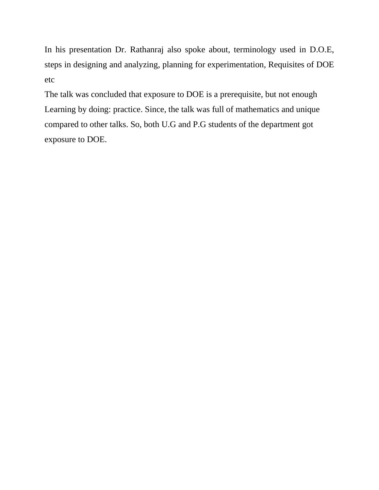In his presentation Dr. Rathanraj also spoke about, terminology used in D.O.E, steps in designing and analyzing, planning for experimentation, Requisites of DOE etc

The talk was concluded that exposure to DOE is a prerequisite, but not enough Learning by doing: practice. Since, the talk was full of mathematics and unique compared to other talks. So, both U.G and P.G students of the department got exposure to DOE.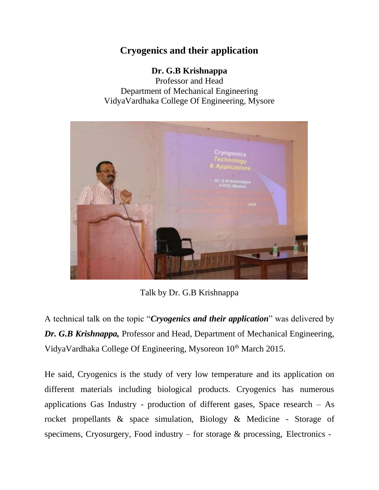## **Cryogenics and their application**

**Dr. G.B Krishnappa**

Professor and Head Department of Mechanical Engineering VidyaVardhaka College Of Engineering, Mysore



Talk by Dr. G.B Krishnappa

A technical talk on the topic "*Cryogenics and their application*" was delivered by *Dr. G.B Krishnappa,* Professor and Head, Department of Mechanical Engineering, VidyaVardhaka College Of Engineering, Mysoreon 10<sup>th</sup> March 2015.

He said, Cryogenics is the study of very low temperature and its application on different materials including biological products. Cryogenics has numerous applications Gas Industry - production of different gases, Space research – As rocket propellants & space simulation, Biology & Medicine - Storage of specimens, Cryosurgery, Food industry – for storage & processing, Electronics -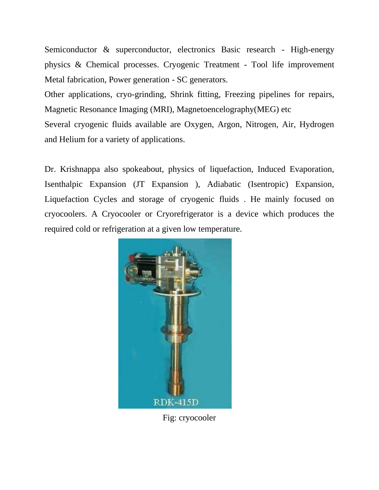Semiconductor & superconductor, electronics Basic research - High-energy physics & Chemical processes. Cryogenic Treatment - Tool life improvement Metal fabrication, Power generation - SC generators.

Other applications, cryo-grinding, Shrink fitting, Freezing pipelines for repairs, Magnetic Resonance Imaging (MRI), Magnetoencelography(MEG) etc Several cryogenic fluids available are Oxygen, Argon, Nitrogen, Air, Hydrogen and Helium for a variety of applications.

Dr. Krishnappa also spokeabout, physics of liquefaction, Induced Evaporation, Isenthalpic Expansion (JT Expansion ), Adiabatic (Isentropic) Expansion, Liquefaction Cycles and storage of cryogenic fluids . He mainly focused on cryocoolers. A Cryocooler or Cryorefrigerator is a device which produces the required cold or refrigeration at a given low temperature.



Fig: cryocooler